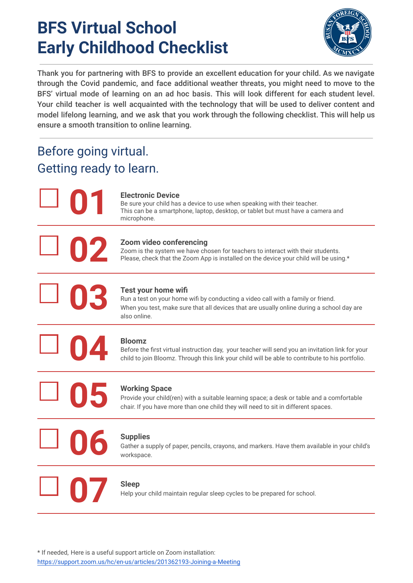## **BFS Virtual School Early Childhood Checklist**



Thank you for partnering with BFS to provide an excellent education for your child. As we navigate through the Covid pandemic, and face additional weather threats, you might need to move to the BFS' virtual mode of learning on an ad hoc basis. This will look different for each student level. Your child teacher is well acquainted with the technology that will be used to deliver content and model lifelong learning, and we ask that you work through the following checklist. This will help us ensure a smooth transition to online learning.

## Before going virtual. Getting ready to learn.

**01**

**02**

**03**

**05**

**06**

#### **Electronic Device**

Be sure your child has a device to use when speaking with their teacher. This can be a smartphone, laptop, desktop, or tablet but must have a camera and microphone.

#### **Zoom video conferencing**

Zoom is the system we have chosen for teachers to interact with their students. Please, check that the Zoom App is installed on the device your child will be using.\*

### **Test your home wifi**

Run a test on your home wifi by conducting a video call with a family or friend. When you test, make sure that all devices that are usually online during a school day are also online.

**04**

#### **Bloomz**

Before the first virtual instruction day, your teacher will send you an invitation link for your child to join Bloomz. Through this link your child will be able to contribute to his portfolio.

## **Working Space**

Provide your child(ren) with a suitable learning space; a desk or table and a comfortable chair. If you have more than one child they will need to sit in different spaces.

## **Supplies**

Gather a supply of paper, pencils, crayons, and markers. Have them available in your child's workspace.

## **07 Sleep**

Help your child maintain regular sleep cycles to be prepared for school.